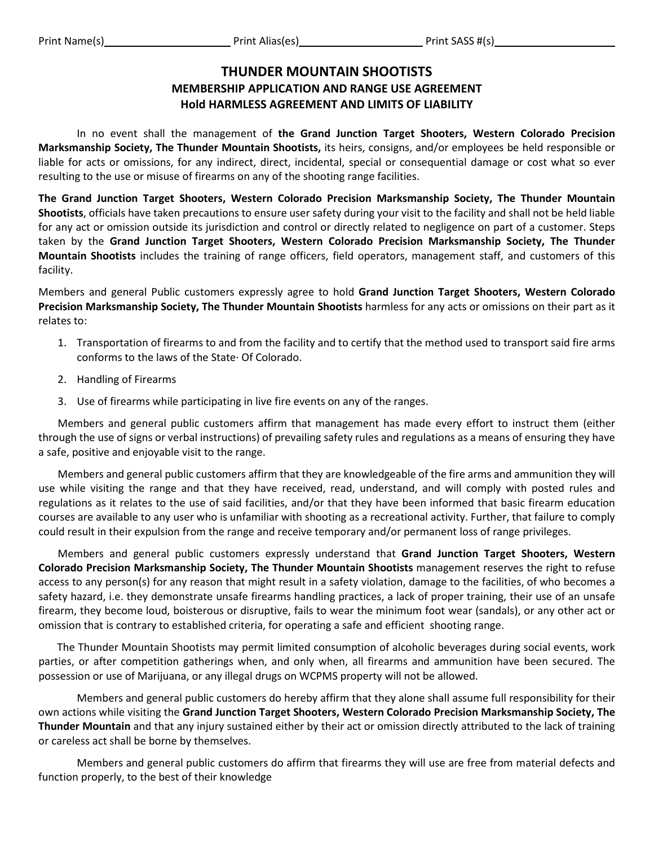## **THUNDER MOUNTAIN SHOOTISTS MEMBERSHIP APPLICATION AND RANGE USE AGREEMENT Hold HARMLESS AGREEMENT AND LIMITS OF LIABILITY**

In no event shall the management of **the Grand Junction Target Shooters, Western Colorado Precision Marksmanship Society, The Thunder Mountain Shootists,** its heirs, consigns, and/or employees be held responsible or liable for acts or omissions, for any indirect, direct, incidental, special or consequential damage or cost what so ever resulting to the use or misuse of firearms on any of the shooting range facilities.

**The Grand Junction Target Shooters, Western Colorado Precision Marksmanship Society, The Thunder Mountain Shootists**, officials have taken precautions to ensure user safety during your visit to the facility and shall not be held liable for any act or omission outside its jurisdiction and control or directly related to negligence on part of a customer. Steps taken by the **Grand Junction Target Shooters, Western Colorado Precision Marksmanship Society, The Thunder Mountain Shootists** includes the training of range officers, field operators, management staff, and customers of this facility.

Members and general Public customers expressly agree to hold **Grand Junction Target Shooters, Western Colorado Precision Marksmanship Society, The Thunder Mountain Shootists** harmless for any acts or omissions on their part as it relates to:

- 1. Transportation of firearms to and from the facility and to certify that the method used to transport said fire arms conforms to the laws of the State· Of Colorado.
- 2. Handling of Firearms
- 3. Use of firearms while participating in live fire events on any of the ranges.

Members and general public customers affirm that management has made every effort to instruct them (either through the use of signs or verbal instructions) of prevailing safety rules and regulations as a means of ensuring they have a safe, positive and enjoyable visit to the range.

Members and general public customers affirm that they are knowledgeable of the fire arms and ammunition they will use while visiting the range and that they have received, read, understand, and will comply with posted rules and regulations as it relates to the use of said facilities, and/or that they have been informed that basic firearm education courses are available to any user who is unfamiliar with shooting as a recreational activity. Further, that failure to comply could result in their expulsion from the range and receive temporary and/or permanent loss of range privileges.

Members and general public customers expressly understand that **Grand Junction Target Shooters, Western Colorado Precision Marksmanship Society, The Thunder Mountain Shootists** management reserves the right to refuse access to any person(s) for any reason that might result in a safety violation, damage to the facilities, of who becomes a safety hazard, i.e. they demonstrate unsafe firearms handling practices, a lack of proper training, their use of an unsafe firearm, they become loud, boisterous or disruptive, fails to wear the minimum foot wear (sandals), or any other act or omission that is contrary to established criteria, for operating a safe and efficient shooting range.

 The Thunder Mountain Shootists may permit limited consumption of alcoholic beverages during social events, work parties, or after competition gatherings when, and only when, all firearms and ammunition have been secured. The possession or use of Marijuana, or any illegal drugs on WCPMS property will not be allowed.

Members and general public customers do hereby affirm that they alone shall assume full responsibility for their own actions while visiting the **Grand Junction Target Shooters, Western Colorado Precision Marksmanship Society, The Thunder Mountain** and that any injury sustained either by their act or omission directly attributed to the lack of training or careless act shall be borne by themselves.

Members and general public customers do affirm that firearms they will use are free from material defects and function properly, to the best of their knowledge